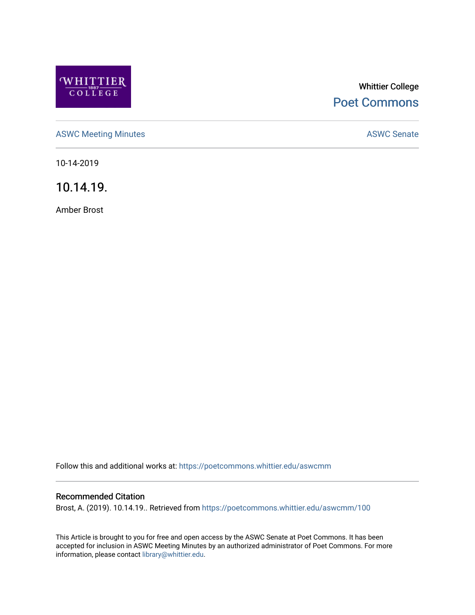

# Whittier College [Poet Commons](https://poetcommons.whittier.edu/)

[ASWC Meeting Minutes](https://poetcommons.whittier.edu/aswcmm) **ASWC Senate** 

10-14-2019

10.14.19.

Amber Brost

Follow this and additional works at: [https://poetcommons.whittier.edu/aswcmm](https://poetcommons.whittier.edu/aswcmm?utm_source=poetcommons.whittier.edu%2Faswcmm%2F100&utm_medium=PDF&utm_campaign=PDFCoverPages)

#### Recommended Citation

Brost, A. (2019). 10.14.19.. Retrieved from [https://poetcommons.whittier.edu/aswcmm/100](https://poetcommons.whittier.edu/aswcmm/100?utm_source=poetcommons.whittier.edu%2Faswcmm%2F100&utm_medium=PDF&utm_campaign=PDFCoverPages) 

This Article is brought to you for free and open access by the ASWC Senate at Poet Commons. It has been accepted for inclusion in ASWC Meeting Minutes by an authorized administrator of Poet Commons. For more information, please contact [library@whittier.edu.](mailto:library@whittier.edu)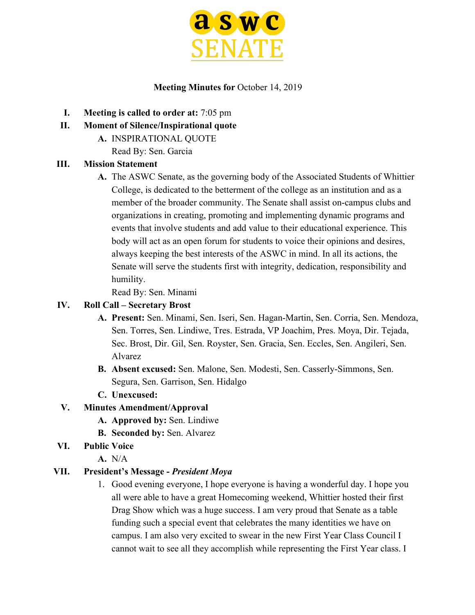

#### **Meeting Minutes for** October 14, 2019

- **I. Meeting is called to order at:** 7:05 pm
- **II. Moment of Silence/Inspirational quote**
	- **A.** INSPIRATIONAL QUOTE
		- Read By: Sen. Garcia

#### **III. Mission Statement**

**A.** The ASWC Senate, as the governing body of the Associated Students of Whittier College, is dedicated to the betterment of the college as an institution and as a member of the broader community. The Senate shall assist on-campus clubs and organizations in creating, promoting and implementing dynamic programs and events that involve students and add value to their educational experience. This body will act as an open forum for students to voice their opinions and desires, always keeping the best interests of the ASWC in mind. In all its actions, the Senate will serve the students first with integrity, dedication, responsibility and humility.

Read By: Sen. Minami

#### **IV. Roll Call – Secretary Brost**

- **A. Present:** Sen. Minami, Sen. Iseri, Sen. Hagan-Martin, Sen. Corria, Sen. Mendoza, Sen. Torres, Sen. Lindiwe, Tres. Estrada, VP Joachim, Pres. Moya, Dir. Tejada, Sec. Brost, Dir. Gil, Sen. Royster, Sen. Gracia, Sen. Eccles, Sen. Angileri, Sen. Alvarez
- **B. Absent excused:** Sen. Malone, Sen. Modesti, Sen. Casserly-Simmons, Sen. Segura, Sen. Garrison, Sen. Hidalgo
- **C. Unexcused:**

### **V. Minutes Amendment/Approval**

- **A. Approved by:** Sen. Lindiwe
- **B. Seconded by:** Sen. Alvarez
- **VI. Public Voice**
	- **A.** N/A

#### **VII. President's Message -** *President Moya*

1. Good evening everyone, I hope everyone is having a wonderful day. I hope you all were able to have a great Homecoming weekend, Whittier hosted their first Drag Show which was a huge success. I am very proud that Senate as a table funding such a special event that celebrates the many identities we have on campus. I am also very excited to swear in the new First Year Class Council I cannot wait to see all they accomplish while representing the First Year class. I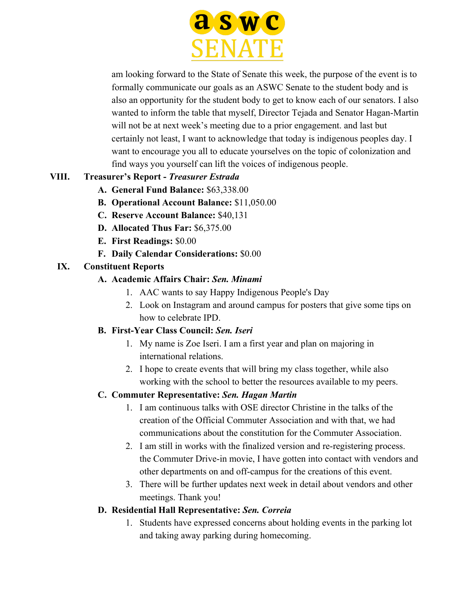

am looking forward to the State of Senate this week, the purpose of the event is to formally communicate our goals as an ASWC Senate to the student body and is also an opportunity for the student body to get to know each of our senators. I also wanted to inform the table that myself, Director Tejada and Senator Hagan-Martin will not be at next week's meeting due to a prior engagement. and last but certainly not least, I want to acknowledge that today is indigenous peoples day. I want to encourage you all to educate yourselves on the topic of colonization and find ways you yourself can lift the voices of indigenous people.

# **VIII. Treasurer's Report -** *Treasurer Estrada*

- **A. General Fund Balance:** \$63,338.00
- **B. Operational Account Balance:** \$11,050.00
- **C. Reserve Account Balance:** \$40,131
- **D. Allocated Thus Far:** \$6,375.00
- **E. First Readings:** \$0.00
- **F. Daily Calendar Considerations:** \$0.00

### **IX. Constituent Reports**

- **A. Academic Affairs Chair:** *Sen. Minami*
	- 1. AAC wants to say Happy Indigenous People's Day
	- 2. Look on Instagram and around campus for posters that give some tips on how to celebrate IPD.

# **B. First-Year Class Council:** *Sen. Iseri*

- 1. My name is Zoe Iseri. I am a first year and plan on majoring in international relations.
- 2. I hope to create events that will bring my class together, while also working with the school to better the resources available to my peers.

# **C. Commuter Representative:** *Sen. Hagan Martin*

- 1. I am continuous talks with OSE director Christine in the talks of the creation of the Official Commuter Association and with that, we had communications about the constitution for the Commuter Association.
- 2. I am still in works with the finalized version and re-registering process. the Commuter Drive-in movie, I have gotten into contact with vendors and other departments on and off-campus for the creations of this event.
- 3. There will be further updates next week in detail about vendors and other meetings. Thank you!

### **D. Residential Hall Representative:** *Sen. Correia*

1. Students have expressed concerns about holding events in the parking lot and taking away parking during homecoming.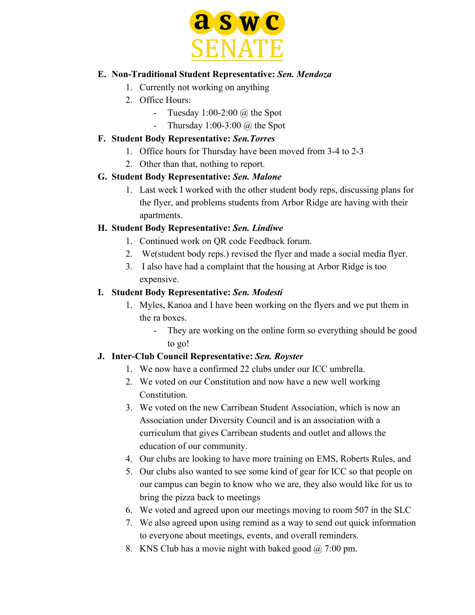

#### **E. Non-Traditional Student Representative:** *Sen. Mendoza*

- 1. Currently not working on anything
- 2. Office Hours:
	- Tuesday  $1:00-2:00$  @ the Spot
	- Thursday  $1:00-3:00$   $\omega$  the Spot

#### **F. Student Body Representative:** *Sen.Torres*

- 1. Office hours for Thursday have been moved from 3-4 to 2-3
- 2. Other than that, nothing to report.

### **G. Student Body Representative:** *Sen. Malone*

1. Last week I worked with the other student body reps, discussing plans for the flyer, and problems students from Arbor Ridge are having with their apartments.

### **H. Student Body Representative:** *Sen. Lindiwe*

- 1. Continued work on QR code Feedback forum.
- 2. We(student body reps.) revised the flyer and made a social media flyer.
- 3. I also have had a complaint that the housing at Arbor Ridge is too expensive.

### **I. Student Body Representative:** *Sen. Modesti*

- 1. Myles, Kanoa and I have been working on the flyers and we put them in the ra boxes.
	- They are working on the online form so everything should be good to go!

### **J. Inter-Club Council Representative:** *Sen. Royster*

- 1. We now have a confirmed 22 clubs under our ICC umbrella.
- 2. We voted on our Constitution and now have a new well working Constitution.
- 3. We voted on the new Carribean Student Association, which is now an Association under Diversity Council and is an association with a curriculum that gives Carribean students and outlet and allows the education of our community.
- 4. Our clubs are looking to have more training on EMS, Roberts Rules, and
- 5. Our clubs also wanted to see some kind of gear for ICC so that people on our campus can begin to know who we are, they also would like for us to bring the pizza back to meetings
- 6. We voted and agreed upon our meetings moving to room 507 in the SLC
- 7. We also agreed upon using remind as a way to send out quick information to everyone about meetings, events, and overall reminders.
- 8. KNS Club has a movie night with baked good @ 7:00 pm.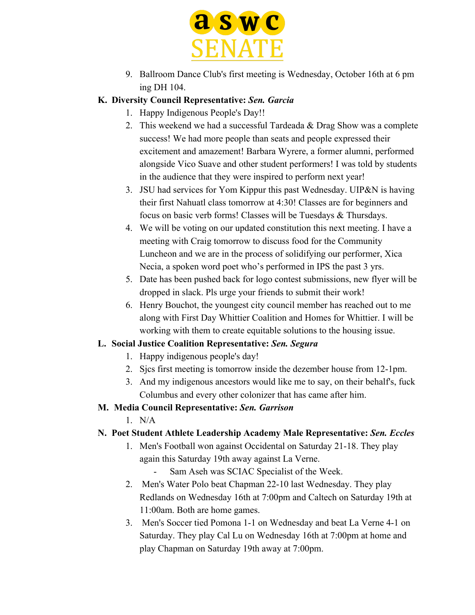

- 9. Ballroom Dance Club's first meeting is Wednesday, October 16th at 6 pm ing DH 104.
- **K. Diversity Council Representative:** *Sen. Garcia*
	- 1. Happy Indigenous People's Day!!
	- 2. This weekend we had a successful Tardeada & Drag Show was a complete success! We had more people than seats and people expressed their excitement and amazement! Barbara Wyrere, a former alumni, performed alongside Vico Suave and other student performers! I was told by students in the audience that they were inspired to perform next year!
	- 3. JSU had services for Yom Kippur this past Wednesday. UIP&N is having their first Nahuatl class tomorrow at 4:30! Classes are for beginners and focus on basic verb forms! Classes will be Tuesdays & Thursdays.
	- 4. We will be voting on our updated constitution this next meeting. I have a meeting with Craig tomorrow to discuss food for the Community Luncheon and we are in the process of solidifying our performer, Xica Necia, a spoken word poet who's performed in IPS the past 3 yrs.
	- 5. Date has been pushed back for logo contest submissions, new flyer will be dropped in slack. Pls urge your friends to submit their work!
	- 6. Henry Bouchot, the youngest city council member has reached out to me along with First Day Whittier Coalition and Homes for Whittier. I will be working with them to create equitable solutions to the housing issue.

### **L. Social Justice Coalition Representative:** *Sen. Segura*

- 1. Happy indigenous people's day!
- 2. Sjcs first meeting is tomorrow inside the dezember house from 12-1pm.
- 3. And my indigenous ancestors would like me to say, on their behalf's, fuck Columbus and every other colonizer that has came after him.

### **M. Media Council Representative:** *Sen. Garrison*

 $1$  N/A

# **N. Poet Student Athlete Leadership Academy Male Representative:** *Sen. Eccles*

- 1. Men's Football won against Occidental on Saturday 21-18. They play again this Saturday 19th away against La Verne.
	- Sam Aseh was SCIAC Specialist of the Week.
- 2. Men's Water Polo beat Chapman 22-10 last Wednesday. They play Redlands on Wednesday 16th at 7:00pm and Caltech on Saturday 19th at 11:00am. Both are home games.
- 3. Men's Soccer tied Pomona 1-1 on Wednesday and beat La Verne 4-1 on Saturday. They play Cal Lu on Wednesday 16th at 7:00pm at home and play Chapman on Saturday 19th away at 7:00pm.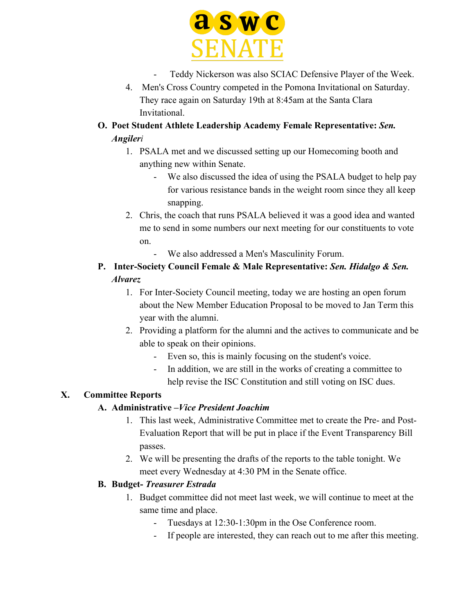

- Teddy Nickerson was also SCIAC Defensive Player of the Week.
- 4. Men's Cross Country competed in the Pomona Invitational on Saturday. They race again on Saturday 19th at 8:45am at the Santa Clara Invitational.
- **O. Poet Student Athlete Leadership Academy Female Representative:** *Sen. Angileri*
	- 1. PSALA met and we discussed setting up our Homecoming booth and anything new within Senate.
		- We also discussed the idea of using the PSALA budget to help pay for various resistance bands in the weight room since they all keep snapping.
	- 2. Chris, the coach that runs PSALA believed it was a good idea and wanted me to send in some numbers our next meeting for our constituents to vote on.
		- We also addressed a Men's Masculinity Forum.

# **P. Inter-Society Council Female & Male Representative:** *Sen. Hidalgo & Sen. Alvarez*

- 1. For Inter-Society Council meeting, today we are hosting an open forum about the New Member Education Proposal to be moved to Jan Term this year with the alumni.
- 2. Providing a platform for the alumni and the actives to communicate and be able to speak on their opinions.
	- Even so, this is mainly focusing on the student's voice.
	- In addition, we are still in the works of creating a committee to help revise the ISC Constitution and still voting on ISC dues.

# **X. Committee Reports**

# **A. Administrative –***Vice President Joachim*

- 1. This last week, Administrative Committee met to create the Pre- and Post-Evaluation Report that will be put in place if the Event Transparency Bill passes.
- 2. We will be presenting the drafts of the reports to the table tonight. We meet every Wednesday at 4:30 PM in the Senate office.

# **B. Budget-** *Treasurer Estrada*

- 1. Budget committee did not meet last week, we will continue to meet at the same time and place.
	- Tuesdays at 12:30-1:30pm in the Ose Conference room.
	- If people are interested, they can reach out to me after this meeting.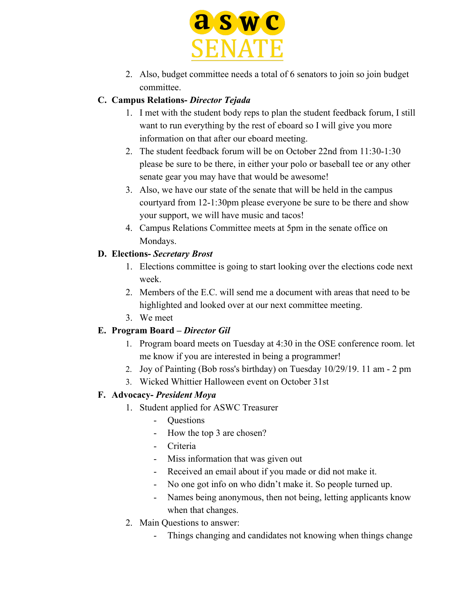

2. Also, budget committee needs a total of 6 senators to join so join budget committee.

### **C. Campus Relations-** *Director Tejada*

- 1. I met with the student body reps to plan the student feedback forum, I still want to run everything by the rest of eboard so I will give you more information on that after our eboard meeting.
- 2. The student feedback forum will be on October 22nd from 11:30-1:30 please be sure to be there, in either your polo or baseball tee or any other senate gear you may have that would be awesome!
- 3. Also, we have our state of the senate that will be held in the campus courtyard from 12-1:30pm please everyone be sure to be there and show your support, we will have music and tacos!
- 4. Campus Relations Committee meets at 5pm in the senate office on Mondays.

### **D. Elections-** *Secretary Brost*

- 1. Elections committee is going to start looking over the elections code next week.
- 2. Members of the E.C. will send me a document with areas that need to be highlighted and looked over at our next committee meeting.
- 3. We meet

### **E. Program Board –** *Director Gil*

- 1. Program board meets on Tuesday at 4:30 in the OSE conference room. let me know if you are interested in being a programmer!
- 2. Joy of Painting (Bob ross's birthday) on Tuesday 10/29/19. 11 am 2 pm
- 3. Wicked Whittier Halloween event on October 31st

### **F. Advocacy-** *President Moya*

- 1. Student applied for ASWC Treasurer
	- Questions
	- How the top 3 are chosen?
	- Criteria
	- Miss information that was given out
	- Received an email about if you made or did not make it.
	- No one got info on who didn't make it. So people turned up.
	- Names being anonymous, then not being, letting applicants know when that changes.
- 2. Main Questions to answer:
	- Things changing and candidates not knowing when things change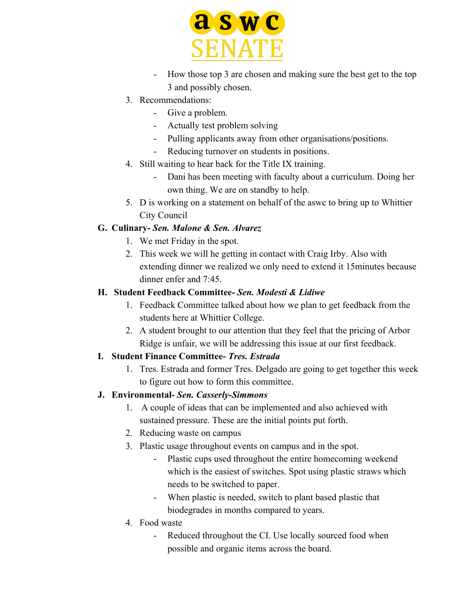

- How those top 3 are chosen and making sure the best get to the top 3 and possibly chosen.
- 3. Recommendations:
	- Give a problem.
	- Actually test problem solving
	- Pulling applicants away from other organisations/positions.
	- Reducing turnover on students in positions.
- 4. Still waiting to hear back for the Title IX training.
	- Dani has been meeting with faculty about a curriculum. Doing her own thing. We are on standby to help.
- 5. D is working on a statement on behalf of the aswc to bring up to Whittier City Council

# **G. Culinary-** *Sen. Malone & Sen. Alvarez*

- 1. We met Friday in the spot.
- 2. This week we will he getting in contact with Craig Irby. Also with extending dinner we realized we only need to extend it 15minutes because dinner enfer and 7:45.

### **H. Student Feedback Committee-** *Sen. Modesti & Lidiwe*

- 1. Feedback Committee talked about how we plan to get feedback from the students here at Whittier College.
- 2. A student brought to our attention that they feel that the pricing of Arbor Ridge is unfair, we will be addressing this issue at our first feedback.

# **I. Student Finance Committee-** *Tres. Estrada*

1. Tres. Estrada and former Tres. Delgado are going to get together this week to figure out how to form this committee.

### **J. Environmental-** *Sen. Casserly-Simmons*

- 1. A couple of ideas that can be implemented and also achieved with sustained pressure. These are the initial points put forth.
- 2. Reducing waste on campus
- 3. Plastic usage throughout events on campus and in the spot.
	- Plastic cups used throughout the entire homecoming weekend which is the easiest of switches. Spot using plastic straws which needs to be switched to paper.
	- When plastic is needed, switch to plant based plastic that biodegrades in months compared to years.
- 4. Food waste
	- Reduced throughout the CI. Use locally sourced food when possible and organic items across the board.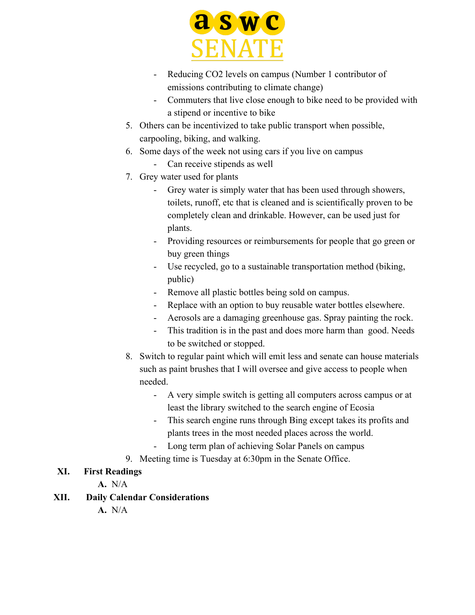

- Reducing CO2 levels on campus (Number 1 contributor of emissions contributing to climate change)
- Commuters that live close enough to bike need to be provided with a stipend or incentive to bike
- 5. Others can be incentivized to take public transport when possible, carpooling, biking, and walking.
- 6. Some days of the week not using cars if you live on campus
	- Can receive stipends as well
- 7. Grey water used for plants
	- Grey water is simply water that has been used through showers, toilets, runoff, etc that is cleaned and is scientifically proven to be completely clean and drinkable. However, can be used just for plants.
	- Providing resources or reimbursements for people that go green or buy green things
	- Use recycled, go to a sustainable transportation method (biking, public)
	- Remove all plastic bottles being sold on campus.
	- Replace with an option to buy reusable water bottles elsewhere.
	- Aerosols are a damaging greenhouse gas. Spray painting the rock.
	- This tradition is in the past and does more harm than good. Needs to be switched or stopped.
- 8. Switch to regular paint which will emit less and senate can house materials such as paint brushes that I will oversee and give access to people when needed.
	- A very simple switch is getting all computers across campus or at least the library switched to the search engine of Ecosia
	- This search engine runs through Bing except takes its profits and plants trees in the most needed places across the world.
	- Long term plan of achieving Solar Panels on campus
- 9. Meeting time is Tuesday at 6:30pm in the Senate Office.

# **XI. First Readings**

- **A.** N/A
- **XII. Daily Calendar Considerations**
	- **A.** N/A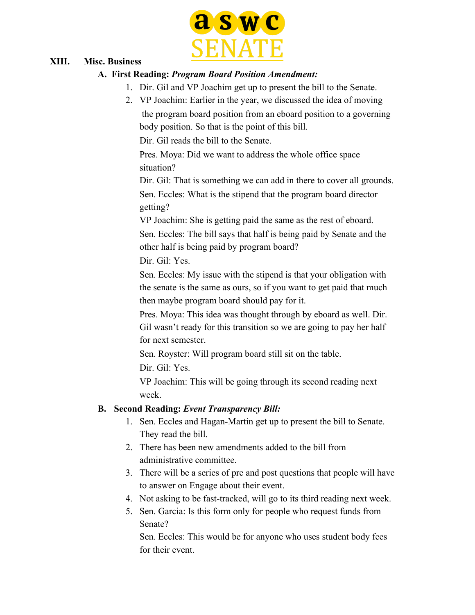

#### **XIII. Misc. Business**

#### **A. First Reading:** *Program Board Position Amendment:*

- 1. Dir. Gil and VP Joachim get up to present the bill to the Senate.
- 2. VP Joachim: Earlier in the year, we discussed the idea of moving the program board position from an eboard position to a governing body position. So that is the point of this bill.

Dir. Gil reads the bill to the Senate.

Pres. Moya: Did we want to address the whole office space situation?

Dir. Gil: That is something we can add in there to cover all grounds. Sen. Eccles: What is the stipend that the program board director getting?

VP Joachim: She is getting paid the same as the rest of eboard.

Sen. Eccles: The bill says that half is being paid by Senate and the other half is being paid by program board?

Dir. Gil: Yes.

Sen. Eccles: My issue with the stipend is that your obligation with the senate is the same as ours, so if you want to get paid that much then maybe program board should pay for it.

Pres. Moya: This idea was thought through by eboard as well. Dir. Gil wasn't ready for this transition so we are going to pay her half for next semester.

Sen. Royster: Will program board still sit on the table.

Dir. Gil: Yes.

VP Joachim: This will be going through its second reading next week.

### **B. Second Reading:** *Event Transparency Bill:*

- 1. Sen. Eccles and Hagan-Martin get up to present the bill to Senate. They read the bill.
- 2. There has been new amendments added to the bill from administrative committee.
- 3. There will be a series of pre and post questions that people will have to answer on Engage about their event.
- 4. Not asking to be fast-tracked, will go to its third reading next week.
- 5. Sen. Garcia: Is this form only for people who request funds from Senate?

Sen. Eccles: This would be for anyone who uses student body fees for their event.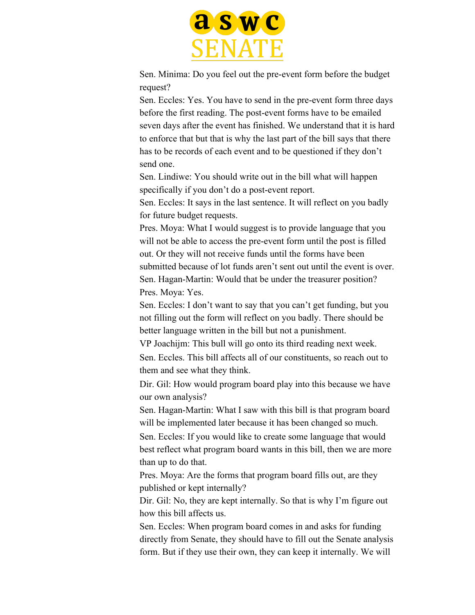

Sen. Minima: Do you feel out the pre-event form before the budget request?

Sen. Eccles: Yes. You have to send in the pre-event form three days before the first reading. The post-event forms have to be emailed seven days after the event has finished. We understand that it is hard to enforce that but that is why the last part of the bill says that there has to be records of each event and to be questioned if they don't send one.

Sen. Lindiwe: You should write out in the bill what will happen specifically if you don't do a post-event report.

Sen. Eccles: It says in the last sentence. It will reflect on you badly for future budget requests.

Pres. Moya: What I would suggest is to provide language that you will not be able to access the pre-event form until the post is filled out. Or they will not receive funds until the forms have been submitted because of lot funds aren't sent out until the event is over. Sen. Hagan-Martin: Would that be under the treasurer position? Pres. Moya: Yes.

Sen. Eccles: I don't want to say that you can't get funding, but you not filling out the form will reflect on you badly. There should be better language written in the bill but not a punishment.

VP Joachijm: This bull will go onto its third reading next week.

Sen. Eccles. This bill affects all of our constituents, so reach out to them and see what they think.

Dir. Gil: How would program board play into this because we have our own analysis?

Sen. Hagan-Martin: What I saw with this bill is that program board will be implemented later because it has been changed so much.

Sen. Eccles: If you would like to create some language that would best reflect what program board wants in this bill, then we are more than up to do that.

Pres. Moya: Are the forms that program board fills out, are they published or kept internally?

Dir. Gil: No, they are kept internally. So that is why I'm figure out how this bill affects us.

Sen. Eccles: When program board comes in and asks for funding directly from Senate, they should have to fill out the Senate analysis form. But if they use their own, they can keep it internally. We will